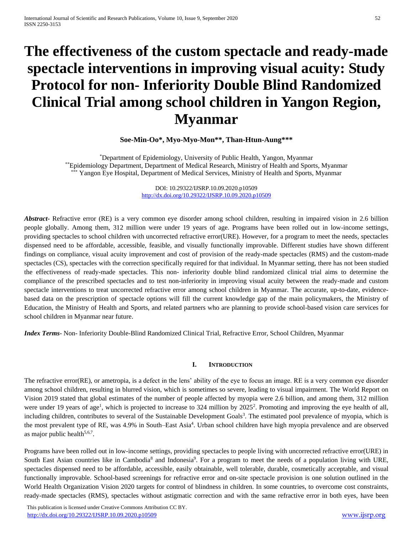# **The effectiveness of the custom spectacle and ready-made spectacle interventions in improving visual acuity: Study Protocol for non- Inferiority Double Blind Randomized Clinical Trial among school children in Yangon Region, Myanmar**

## **Soe-Min-Oo\*, Myo-Myo-Mon\*\*, Than-Htun-Aung\*\*\***

\*Department of Epidemiology, University of Public Health, Yangon, Myanmar \*\*Epidemiology Department, Department of Medical Research, Ministry of Health and Sports, Myanmar Yangon Eye Hospital, Department of Medical Services, Ministry of Health and Sports, Myanmar

> DOI: 10.29322/IJSRP.10.09.2020.p10509 <http://dx.doi.org/10.29322/IJSRP.10.09.2020.p10509>

*Abstract***-** Refractive error (RE) is a very common eye disorder among school children, resulting in impaired vision in 2.6 billion people globally. Among them, 312 million were under 19 years of age. Programs have been rolled out in low-income settings, providing spectacles to school children with uncorrected refractive error(URE). However, for a program to meet the needs, spectacles dispensed need to be affordable, accessible, feasible, and visually functionally improvable. Different studies have shown different findings on compliance, visual acuity improvement and cost of provision of the ready-made spectacles (RMS) and the custom-made spectacles (CS), spectacles with the correction specifically required for that individual. In Myanmar setting, there has not been studied the effectiveness of ready-made spectacles. This non- inferiority double blind randomized clinical trial aims to determine the compliance of the prescribed spectacles and to test non-inferiority in improving visual acuity between the ready-made and custom spectacle interventions to treat uncorrected refractive error among school children in Myanmar. The accurate, up-to-date, evidencebased data on the prescription of spectacle options will fill the current knowledge gap of the main policymakers, the Ministry of Education, the Ministry of Health and Sports, and related partners who are planning to provide school-based vision care services for school children in Myanmar near future.

*Index Terms*- Non- Inferiority Double-Blind Randomized Clinical Trial, Refractive Error, School Children, Myanmar

### **I. INTRODUCTION**

The refractive error(RE), or ametropia, is a defect in the lens' ability of the eye to focus an image. RE is a very common eye disorder among school children, resulting in blurred vision, which is sometimes so severe, leading to visual impairment. The World Report on Vision 2019 stated that global estimates of the number of people affected by myopia were 2.6 billion, and among them, 312 million were under 19 years of age<sup>1</sup>, which is projected to increase to 324 million by 2025<sup>2</sup>. Promoting and improving the eye health of all, including children, contributes to several of the Sustainable Development Goals<sup>3</sup>. The estimated pool prevalence of myopia, which is the most prevalent type of RE, was 4.9% in South–East Asia<sup>4</sup>. Urban school children have high myopia prevalence and are observed as major public health $5,6,7$ .

Programs have been rolled out in low-income settings, providing spectacles to people living with uncorrected refractive error(URE) in South East Asian countries like in Cambodia<sup>8</sup> and Indonesia<sup>9</sup>. For a program to meet the needs of a population living with URE, spectacles dispensed need to be affordable, accessible, easily obtainable, well tolerable, durable, cosmetically acceptable, and visual functionally improvable. School-based screenings for refractive error and on-site spectacle provision is one solution outlined in the World Health Organization Vision 2020 targets for control of blindness in children. In some countries, to overcome cost constraints, ready-made spectacles (RMS), spectacles without astigmatic correction and with the same refractive error in both eyes, have been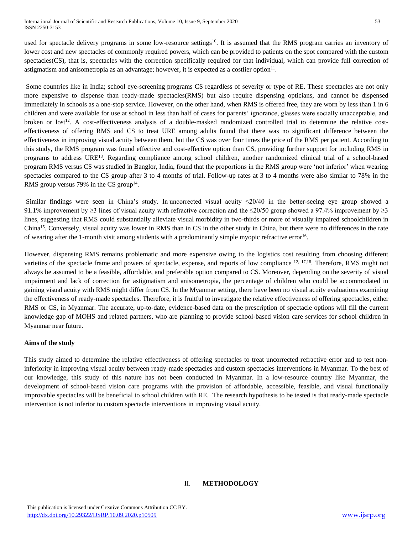used for spectacle delivery programs in some low-resource settings<sup>10</sup>. It is assumed that the RMS program carries an inventory of lower cost and new spectacles of commonly required powers, which can be provided to patients on the spot compared with the custom spectacles (CS), that is, spectacles with the correction specifically required for that individual, which can provide full correction of astigmatism and anisometropia as an advantage; however, it is expected as a costlier option $11$ .

Some countries like in India; school eye-screening programs CS regardless of severity or type of RE. These spectacles are not only more expensive to dispense than ready-made spectacles(RMS) but also require dispensing opticians, and cannot be dispensed immediately in schools as a one-stop service. However, on the other hand, when RMS is offered free, they are worn by less than 1 in 6 children and were available for use at school in less than half of cases for parents' ignorance, glasses were socially unacceptable, and broken or lost<sup>12</sup>. A cost-effectiveness analysis of a double-masked randomized controlled trial to determine the relative costeffectiveness of offering RMS and CS to treat URE among adults found that there was no significant difference between the effectiveness in improving visual acuity between them, but the CS was over four times the price of the RMS per patient. According to this study, the RMS program was found effective and cost-effective option than CS, providing further support for including RMS in programs to address URE<sup>13</sup>. Regarding compliance among school children, another randomized clinical trial of a school-based program RMS versus CS was studied in Banglor, India, found that the proportions in the RMS group were 'not inferior' when wearing spectacles compared to the CS group after 3 to 4 months of trial. Follow-up rates at 3 to 4 months were also similar to 78% in the RMS group versus 79% in the CS group<sup>14</sup>.

Similar findings were seen in China's study. In uncorrected visual acuity  $\leq 20/40$  in the better-seeing eye group showed a 91.1% improvement by  $\geq$ 3 lines of visual acuity with refractive correction and the  $\leq$ 20/50 group showed a 97.4% improvement by  $\geq$ 3 lines, suggesting that RMS could substantially alleviate visual morbidity in two-thirds or more of visually impaired schoolchildren in China<sup>15</sup>. Conversely, visual acuity was lower in RMS than in CS in the other study in China, but there were no differences in the rate of wearing after the 1-month visit among students with a predominantly simple myopic refractive error<sup>16</sup>.

However, dispensing RMS remains problematic and more expensive owing to the logistics cost resulting from choosing different varieties of the spectacle frame and powers of spectacle, expense, and reports of low compliance <sup>12, 17,18</sup>. Therefore, RMS might not always be assumed to be a feasible, affordable, and preferable option compared to CS. Moreover, depending on the severity of visual impairment and lack of correction for astigmatism and anisometropia, the percentage of children who could be accommodated in gaining visual acuity with RMS might differ from CS. In the Myanmar setting, there have been no visual acuity evaluations examining the effectiveness of ready-made spectacles. Therefore, it is fruitful to investigate the relative effectiveness of offering spectacles, either RMS or CS, in Myanmar. The accurate, up-to-date, evidence-based data on the prescription of spectacle options will fill the current knowledge gap of MOHS and related partners, who are planning to provide school-based vision care services for school children in Myanmar near future.

## **Aims of the study**

This study aimed to determine the relative effectiveness of offering spectacles to treat uncorrected refractive error and to test noninferiority in improving visual acuity between ready-made spectacles and custom spectacles interventions in Myanmar. To the best of our knowledge, this study of this nature has not been conducted in Myanmar. In a low-resource country like Myanmar, the development of school-based vision care programs with the provision of affordable, accessible, feasible, and visual functionally improvable spectacles will be beneficial to school children with RE. The research hypothesis to be tested is that ready-made spectacle intervention is not inferior to custom spectacle interventions in improving visual acuity.

## II. **METHODOLOGY**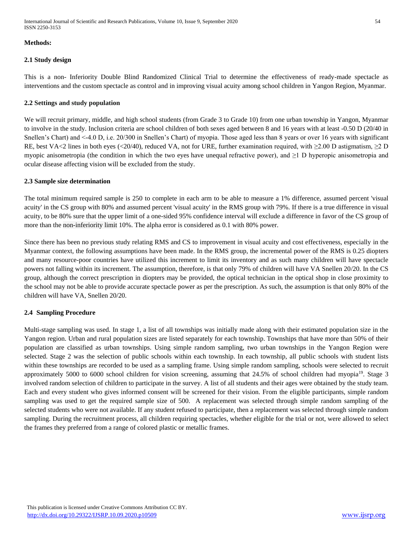International Journal of Scientific and Research Publications, Volume 10, Issue 9, September 2020 54 ISSN 2250-3153

#### **Methods:**

### **2.1 Study design**

This is a non- Inferiority Double Blind Randomized Clinical Trial to determine the effectiveness of ready-made spectacle as interventions and the custom spectacle as control and in improving visual acuity among school children in Yangon Region, Myanmar.

#### **2.2 Settings and study population**

We will recruit primary, middle, and high school students (from Grade 3 to Grade 10) from one urban township in Yangon, Myanmar to involve in the study. Inclusion criteria are school children of both sexes aged between 8 and 16 years with at least -0.50 D (20/40 in Snellen's Chart) and <-4.0 D, i.e. 20/300 in Snellen's Chart) of myopia. Those aged less than 8 years or over 16 years with significant RE, best VA<2 lines in both eyes (<20/40), reduced VA, not for URE, further examination required, with  $\geq$ 2.00 D astigmatism,  $\geq$ 2 D myopic anisometropia (the condition in which the two eyes have unequal refractive power), and ≥1 D hyperopic anisometropia and ocular disease affecting vision will be excluded from the study.

### **2.3 Sample size determination**

The total minimum required sample is 250 to complete in each arm to be able to measure a 1% difference, assumed percent 'visual acuity' in the CS group with 80% and assumed percent 'visual acuity' in the RMS group with 79%. If there is a true difference in visual acuity, to be 80% sure that the upper limit of a one-sided 95% confidence interval will exclude a difference in favor of the CS group of more than the non-inferiority limit 10%. The alpha error is considered as 0.1 with 80% power.

Since there has been no previous study relating RMS and CS to improvement in visual acuity and cost effectiveness, especially in the Myanmar context, the following assumptions have been made. In the RMS group, the incremental power of the RMS is 0.25 diopters and many resource-poor countries have utilized this increment to limit its inventory and as such many children will have spectacle powers not falling within its increment. The assumption, therefore, is that only 79% of children will have VA Snellen 20/20. In the CS group, although the correct prescription in diopters may be provided, the optical technician in the optical shop in close proximity to the school may not be able to provide accurate spectacle power as per the prescription. As such, the assumption is that only 80% of the children will have VA, Snellen 20/20.

### **2.4 Sampling Procedure**

Multi-stage sampling was used. In stage 1, a list of all townships was initially made along with their estimated population size in the Yangon region. Urban and rural population sizes are listed separately for each township. Townships that have more than 50% of their population are classified as urban townships. Using simple random sampling, two urban townships in the Yangon Region were selected. Stage 2 was the selection of public schools within each township. In each township, all public schools with student lists within these townships are recorded to be used as a sampling frame. Using simple random sampling, schools were selected to recruit approximately 5000 to 6000 school children for vision screening, assuming that 24.5% of school children had myopia<sup>19</sup>. Stage 3 involved random selection of children to participate in the survey. A list of all students and their ages were obtained by the study team. Each and every student who gives informed consent will be screened for their vision. From the eligible participants, simple random sampling was used to get the required sample size of 500. A replacement was selected through simple random sampling of the selected students who were not available. If any student refused to participate, then a replacement was selected through simple random sampling. During the recruitment process, all children requiring spectacles, whether eligible for the trial or not, were allowed to select the frames they preferred from a range of colored plastic or metallic frames.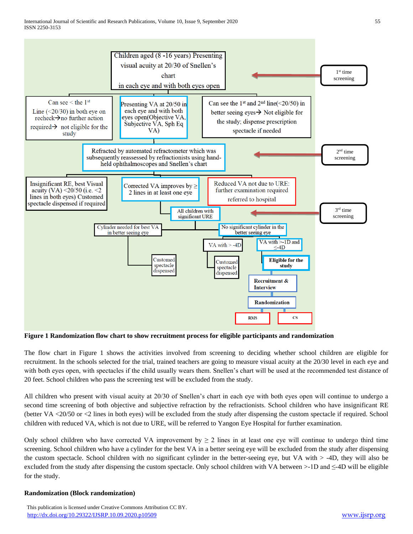

**Figure 1 Randomization flow chart to show recruitment process for eligible participants and randomization** 

The flow chart in Figure 1 shows the activities involved from screening to deciding whether school children are eligible for recruitment. In the schools selected for the trial, trained teachers are going to measure visual acuity at the 20/30 level in each eye and with both eyes open, with spectacles if the child usually wears them. Snellen's chart will be used at the recommended test distance of 20 feet. School children who pass the screening test will be excluded from the study.

All children who present with visual acuity at 20/30 of Snellen's chart in each eye with both eyes open will continue to undergo a second time screening of both objective and subjective refraction by the refractionists. School children who have insignificant RE (better VA <20/50 or <2 lines in both eyes) will be excluded from the study after dispensing the custom spectacle if required. School children with reduced VA, which is not due to URE, will be referred to Yangon Eye Hospital for further examination.

Only school children who have corrected VA improvement by  $\geq 2$  lines in at least one eye will continue to undergo third time screening. School children who have a cylinder for the best VA in a better seeing eye will be excluded from the study after dispensing the custom spectacle. School children with no significant cylinder in the better-seeing eye, but VA with > -4D, they will also be excluded from the study after dispensing the custom spectacle. Only school children with VA between >-1D and ≤-4D will be eligible for the study.

## **Randomization (Block randomization)**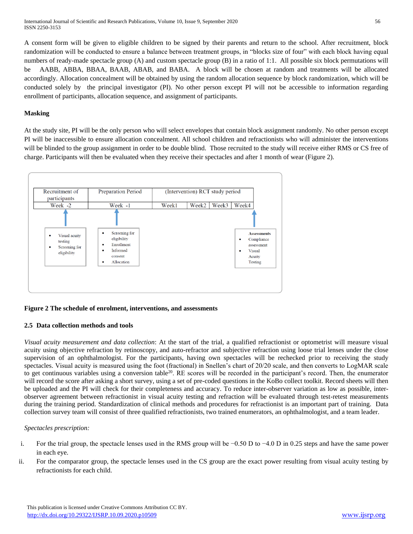A consent form will be given to eligible children to be signed by their parents and return to the school. After recruitment, block randomization will be conducted to ensure a balance between treatment groups, in "blocks size of four" with each block having equal numbers of ready-made spectacle group (A) and custom spectacle group (B) in a ratio of 1:1. All possible six block permutations will be AABB, ABBA, BBAA, BAAB, ABAB, and BABA. A block will be chosen at random and treatments will be allocated accordingly. Allocation concealment [will be obtained by using the random allocation sequence](http://www.consort-statement.org/index.aspx?o=1026) by block randomization, which will be conducted solely by the principal investigator (PI). No other person except PI will not be accessible to information regarding enrollment of participants, allocation sequence, and assignment of participants.

## **Masking**

At the study site, PI will be the only person who will select envelopes that contain block assignment randomly. No other person except PI will be inaccessible to ensure allocation concealment. All school children and refractionists who will administer the interventions will be blinded to the group assignment in order to be double blind. Those recruited to the study will receive either RMS or CS free of charge. Participants will then be evaluated when they receive their spectacles and after 1 month of wear (Figure 2).



## **Figure 2 The schedule of enrolment, interventions, and assessments**

## **2.5 Data collection methods and tools**

*Visual acuity measurement and data collection*: At the start of the trial, a qualified refractionist or optometrist will measure visual acuity using objective refraction by retinoscopy, and auto-refractor and subjective refraction using loose trial lenses under the close supervision of an ophthalmologist. For the participants, having own spectacles will be rechecked prior to receiving the study spectacles. Visual acuity is measured using the foot (fractional) in Snellen's chart of 20/20 scale, and then converts to LogMAR scale to get continuous variables using a conversion table<sup>20</sup>. RE scores will be recorded in the participant's record. Then, the enumerator will record the score after asking a short survey, using a set of pre-coded questions in the KoBo collect toolkit. Record sheets will then be uploaded and the PI will check for their completeness and accuracy. To reduce inter-observer variation as low as possible, interobserver agreement between refractionist in visual acuity testing and refraction will be evaluated through test-retest measurements during the training period. Standardization of clinical methods and procedures for refractionist is an important part of training. Data collection survey team will consist of three qualified refractionists, two trained enumerators, an ophthalmologist, and a team leader.

## *Spectacles prescription:*

- i. For the trial group, the spectacle lenses used in the RMS group will be −0.50 D to −4.0 D in 0.25 steps and have the same power in each eye.
- ii. For the comparator group, the spectacle lenses used in the CS group are the exact power resulting from visual acuity testing by refractionists for each child.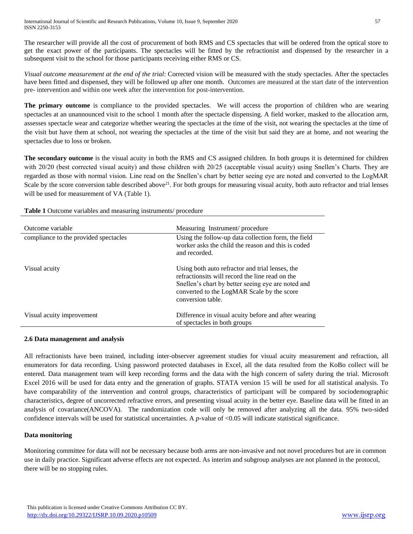The researcher will provide all the cost of procurement of both RMS and CS spectacles that will be ordered from the optical store to get the exact power of the participants. The spectacles will be fitted by the refractionist and dispensed by the researcher in a subsequent visit to the school for those participants receiving either RMS or CS.

*Visual outcome measurement at the end of the trial*: Corrected vision will be measured with the study spectacles. After the spectacles have been fitted and dispensed, they will be followed up after one month. Outcomes are measured at the start date of the intervention pre- intervention and within one week after the intervention for post-intervention.

**The primary outcome** is compliance to the provided spectacles. We will access the proportion of children who are wearing spectacles at an unannounced visit to the school 1 month after the spectacle dispensing. A field worker, masked to the allocation arm, assesses spectacle wear and categorize whether wearing the spectacles at the time of the visit, not wearing the spectacles at the time of the visit but have them at school, not wearing the spectacles at the time of the visit but said they are at home, and not wearing the spectacles due to loss or broken.

**The secondary outcome** is the visual acuity in both the RMS and CS assigned children. In both groups it is determined for children with 20/20 (best corrected visual acuity) and those children with 20/25 (acceptable visual acuity) using Snellen's Charts. They are regarded as those with normal vision. Line read on the Snellen's chart by better seeing eye are noted and converted to the LogMAR Scale by the score conversion table described above<sup>21</sup>. For both groups for measuring visual acuity, both auto refractor and trial lenses will be used for measurement of VA (Table 1).

| Outcome variable                      | Measuring Instrument/procedure                                                                                                                                                                                              |
|---------------------------------------|-----------------------------------------------------------------------------------------------------------------------------------------------------------------------------------------------------------------------------|
| compliance to the provided spectacles | Using the follow-up data collection form, the field<br>worker asks the child the reason and this is coded<br>and recorded.                                                                                                  |
| Visual acuity                         | Using both auto refractor and trial lenses, the<br>refractionsits will record the line read on the<br>Snellen's chart by better seeing eye are noted and<br>converted to the LogMAR Scale by the score<br>conversion table. |
| Visual acuity improvement             | Difference in visual acuity before and after wearing<br>of spectacles in both groups                                                                                                                                        |

**Table 1** Outcome variables and measuring instruments/ procedure

## **2.6 Data management and analysis**

All refractionists have been trained, including inter-observer agreement studies for visual acuity measurement and refraction, all enumerators for data recording. Using password protected databases in Excel, all the data resulted from the KoBo collect will be entered. Data management team will keep recording forms and the data with the high concern of safety during the trial. Microsoft Excel 2016 will be used for data entry and the generation of graphs. STATA version 15 will be used for all statistical analysis. To have comparability of the intervention and control groups, characteristics of participant will be compared by sociodemographic characteristics, degree of uncorrected refractive errors, and presenting visual acuity in the better eye. Baseline data will be fitted in an analysis of covariance(ANCOVA). The randomization code will only be removed after analyzing all the data. 95% two-sided confidence intervals will be used for statistical uncertainties. A  $p$ -value of <0.05 will indicate statistical significance.

## **Data monitoring**

Monitoring committee for data will not be necessary because both arms are non-invasive and not novel procedures but are in common use in daily practice. Significant adverse effects are not expected. As interim and subgroup analyses are not planned in the protocol, there will be no stopping rules.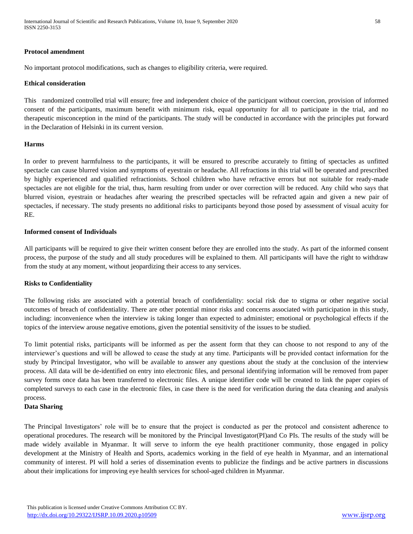International Journal of Scientific and Research Publications, Volume 10, Issue 9, September 2020 58 ISSN 2250-3153

#### **Protocol amendment**

No important protocol modifications, such as changes to eligibility criteria, were required.

#### **Ethical consideration**

This randomized controlled trial will ensure; free and independent choice of the participant without coercion, provision of informed consent of the participants, maximum benefit with minimum risk, equal opportunity for all to participate in the trial, and no therapeutic misconception in the mind of the participants. The study will be conducted in accordance with the principles put forward in the Declaration of Helsinki in its current version.

## **Harms**

In order to prevent harmfulness to the participants, it will be ensured to prescribe accurately to fitting of spectacles as unfitted spectacle can cause blurred vision and symptoms of eyestrain or headache. All refractions in this trial will be operated and prescribed by highly experienced and qualified refractionists. School children who have refractive errors but not suitable for ready-made spectacles are not eligible for the trial, thus, harm resulting from under or over correction will be reduced. Any child who says that blurred vision, eyestrain or headaches after wearing the prescribed spectacles will be refracted again and given a new pair of spectacles, if necessary. The study presents no additional risks to participants beyond those posed by assessment of visual acuity for RE.

## **Informed consent of Individuals**

All participants will be required to give their written consent before they are enrolled into the study. As part of the informed consent process, the purpose of the study and all study procedures will be explained to them. All participants will have the right to withdraw from the study at any moment, without jeopardizing their access to any services.

#### **Risks to Confidentiality**

The following risks are associated with a potential breach of confidentiality: social risk due to stigma or other negative social outcomes of breach of confidentiality. There are other potential minor risks and concerns associated with participation in this study, including: inconvenience when the interview is taking longer than expected to administer; emotional or psychological effects if the topics of the interview arouse negative emotions, given the potential sensitivity of the issues to be studied.

To limit potential risks, participants will be informed as per the assent form that they can choose to not respond to any of the interviewer's questions and will be allowed to cease the study at any time. Participants will be provided contact information for the study by Principal Investigator, who will be available to answer any questions about the study at the conclusion of the interview process. All data will be de-identified on entry into electronic files, and personal identifying information will be removed from paper survey forms once data has been transferred to electronic files. A unique identifier code will be created to link the paper copies of completed surveys to each case in the electronic files, in case there is the need for verification during the data cleaning and analysis process.

#### **Data Sharing**

The Principal Investigators' role will be to ensure that the project is conducted as per the protocol and consistent adherence to operational procedures. The research will be monitored by the Principal Investigator(PI)and Co PIs. The results of the study will be made widely available in Myanmar. It will serve to inform the eye health practitioner community, those engaged in policy development at the Ministry of Health and Sports, academics working in the field of eye health in Myanmar, and an international community of interest. PI will hold a series of dissemination events to publicize the findings and be active partners in discussions about their implications for improving eye health services for school-aged children in Myanmar.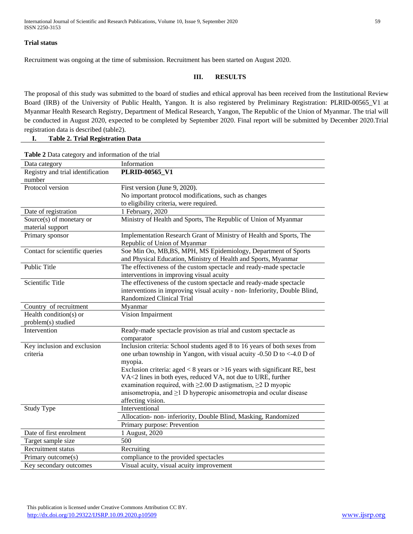## **Trial status**

Recruitment was ongoing at the time of submission. Recruitment has been started on August 2020.

## **III. RESULTS**

The proposal of this study was submitted to the board of studies and ethical approval has been received from the Institutional Review Board (IRB) of the University of Public Health, Yangon. It is also registered by Preliminary Registration: PLRID-00565\_V1 at Myanmar Health Research Registry, Department of Medical Research, Yangon, The Republic of the Union of Myanmar. The trial will be conducted in August 2020, expected to be completed by September 2020. Final report will be submitted by December 2020.Trial registration data is described (table2).

**I. Table 2. Trial Registration Data**

| <b>Table 2</b> Data category and information of the trial |                                                                                |  |
|-----------------------------------------------------------|--------------------------------------------------------------------------------|--|
| Data category                                             | Information                                                                    |  |
| Registry and trial identification<br>number               | PLRID-00565_V1                                                                 |  |
| Protocol version                                          | First version (June 9, 2020).                                                  |  |
|                                                           | No important protocol modifications, such as changes                           |  |
|                                                           | to eligibility criteria, were required.                                        |  |
| Date of registration                                      | 1 February, 2020                                                               |  |
| Source(s) of monetary or                                  | Ministry of Health and Sports, The Republic of Union of Myanmar                |  |
| material support                                          |                                                                                |  |
| Primary sponsor                                           | Implementation Research Grant of Ministry of Health and Sports, The            |  |
|                                                           | Republic of Union of Myanmar                                                   |  |
| Contact for scientific queries                            | Soe Min Oo, MB, BS, MPH, MS Epidemiology, Department of Sports                 |  |
|                                                           | and Physical Education, Ministry of Health and Sports, Myanmar                 |  |
| Public Title                                              | The effectiveness of the custom spectacle and ready-made spectacle             |  |
|                                                           | interventions in improving visual acuity                                       |  |
| Scientific Title                                          | The effectiveness of the custom spectacle and ready-made spectacle             |  |
|                                                           | interventions in improving visual acuity - non- Inferiority, Double Blind,     |  |
|                                                           | <b>Randomized Clinical Trial</b>                                               |  |
| Country of recruitment                                    | Myanmar                                                                        |  |
| Health condition(s) or                                    | Vision Impairment                                                              |  |
| problem(s) studied                                        |                                                                                |  |
| Intervention                                              | Ready-made spectacle provision as trial and custom spectacle as                |  |
|                                                           | comparator                                                                     |  |
| Key inclusion and exclusion                               | Inclusion criteria: School students aged 8 to 16 years of both sexes from      |  |
| criteria                                                  | one urban township in Yangon, with visual acuity -0.50 D to <-4.0 D of         |  |
|                                                           | myopia.                                                                        |  |
|                                                           | Exclusion criteria: aged $< 8$ years or $> 16$ years with significant RE, best |  |
|                                                           | VA<2 lines in both eyes, reduced VA, not due to URE, further                   |  |
|                                                           | examination required, with $\geq$ 2.00 D astigmatism, $\geq$ D myopic          |  |
|                                                           | anisometropia, and $\geq 1$ D hyperopic anisometropia and ocular disease       |  |
|                                                           | affecting vision.                                                              |  |
| <b>Study Type</b>                                         | Interventional                                                                 |  |
|                                                           | Allocation- non- inferiority, Double Blind, Masking, Randomized                |  |
|                                                           | Primary purpose: Prevention                                                    |  |
| Date of first enrolment                                   | 1 August, 2020                                                                 |  |
| Target sample size                                        | 500                                                                            |  |
| Recruitment status                                        | Recruiting                                                                     |  |
| Primary outcome(s)                                        | compliance to the provided spectacles                                          |  |
| Key secondary outcomes                                    | Visual acuity, visual acuity improvement                                       |  |

**Table 2** Data category and information of the trial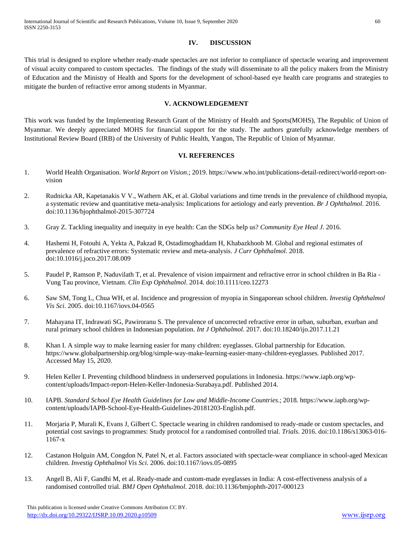## **IV. DISCUSSION**

This trial is designed to explore whether ready-made spectacles are not inferior to compliance of spectacle wearing and improvement of visual acuity compared to custom spectacles. The findings of the study will disseminate to all the policy makers from the Ministry of Education and the Ministry of Health and Sports for the development of school-based eye health care programs and strategies to mitigate the burden of refractive error among students in Myanmar.

## **V. ACKNOWLEDGEMENT**

This work was funded by the Implementing Research Grant of the Ministry of Health and Sports(MOHS), The Republic of Union of Myanmar. We deeply appreciated MOHS for financial support for the study. The authors gratefully acknowledge members of Institutional Review Board (IRB) of the University of Public Health, Yangon, The Republic of Union of Myanmar.

## **VI. REFERENCES**

- 1. World Health Organisation. *World Report on Vision*.; 2019. https://www.who.int/publications-detail-redirect/world-report-onvision
- 2. Rudnicka AR, Kapetanakis V V., Wathern AK, et al. Global variations and time trends in the prevalence of childhood myopia, a systematic review and quantitative meta-analysis: Implications for aetiology and early prevention. *Br J Ophthalmol*. 2016. doi:10.1136/bjophthalmol-2015-307724
- 3. Gray Z. Tackling inequality and inequity in eye health: Can the SDGs help us? *Community Eye Heal J*. 2016.
- 4. Hashemi H, Fotouhi A, Yekta A, Pakzad R, Ostadimoghaddam H, Khabazkhoob M. Global and regional estimates of prevalence of refractive errors: Systematic review and meta-analysis. *J Curr Ophthalmol*. 2018. doi:10.1016/j.joco.2017.08.009
- 5. Paudel P, Ramson P, Naduvilath T, et al. Prevalence of vision impairment and refractive error in school children in Ba Ria Vung Tau province, Vietnam. *Clin Exp Ophthalmol*. 2014. doi:10.1111/ceo.12273
- 6. Saw SM, Tong L, Chua WH, et al. Incidence and progression of myopia in Singaporean school children. *Investig Ophthalmol Vis Sci*. 2005. doi:10.1167/iovs.04-0565
- 7. Mahayana IT, Indrawati SG, Pawiroranu S. The prevalence of uncorrected refractive error in urban, suburban, exurban and rural primary school children in Indonesian population. *Int J Ophthalmol*. 2017. doi:10.18240/ijo.2017.11.21
- 8. Khan I. A simple way to make learning easier for many children: eyeglasses. Global partnership for Education. https://www.globalpartnership.org/blog/simple-way-make-learning-easier-many-children-eyeglasses. Published 2017. Accessed May 15, 2020.
- 9. Helen Keller I. Preventing childhood blindness in underserved populations in Indonesia. https://www.iapb.org/wpcontent/uploads/Impact-report-Helen-Keller-Indonesia-Surabaya.pdf. Published 2014.
- 10. IAPB. *Standard School Eye Health Guidelines for Low and Middle-Income Countries*.; 2018. https://www.iapb.org/wpcontent/uploads/IAPB-School-Eye-Health-Guidelines-20181203-English.pdf.
- 11. Morjaria P, Murali K, Evans J, Gilbert C. Spectacle wearing in children randomised to ready-made or custom spectacles, and potential cost savings to programmes: Study protocol for a randomised controlled trial. *Trials*. 2016. doi:10.1186/s13063-016- 1167-x
- 12. Castanon Holguin AM, Congdon N, Patel N, et al. Factors associated with spectacle-wear compliance in school-aged Mexican children. *Investig Ophthalmol Vis Sci*. 2006. doi:10.1167/iovs.05-0895
- 13. Angell B, Ali F, Gandhi M, et al. Ready-made and custom-made eyeglasses in India: A cost-effectiveness analysis of a randomised controlled trial. *BMJ Open Ophthalmol*. 2018. doi:10.1136/bmjophth-2017-000123